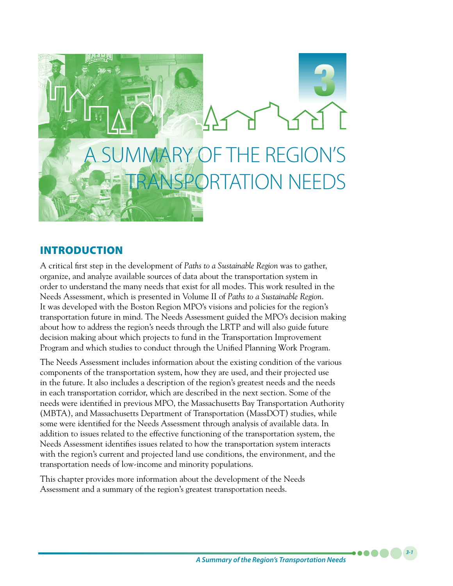

## INTRODUCTION

A critical first step in the development of *Paths to a Sustainable Region* was to gather, organize, and analyze available sources of data about the transportation system in order to understand the many needs that exist for all modes. This work resulted in the Needs Assessment, which is presented in Volume II of *Paths to a Sustainable Region*. It was developed with the Boston Region MPO's visions and policies for the region's transportation future in mind. The Needs Assessment guided the MPO's decision making about how to address the region's needs through the LRTP and will also guide future decision making about which projects to fund in the Transportation Improvement Program and which studies to conduct through the Unified Planning Work Program.

The Needs Assessment includes information about the existing condition of the various components of the transportation system, how they are used, and their projected use in the future. It also includes a description of the region's greatest needs and the needs in each transportation corridor, which are described in the next section. Some of the needs were identified in previous MPO, the Massachusetts Bay Transportation Authority (MBTA), and Massachusetts Department of Transportation (MassDOT) studies, while some were identified for the Needs Assessment through analysis of available data. In addition to issues related to the effective functioning of the transportation system, the Needs Assessment identifies issues related to how the transportation system interacts with the region's current and projected land use conditions, the environment, and the transportation needs of low-income and minority populations.

This chapter provides more information about the development of the Needs Assessment and a summary of the region's greatest transportation needs.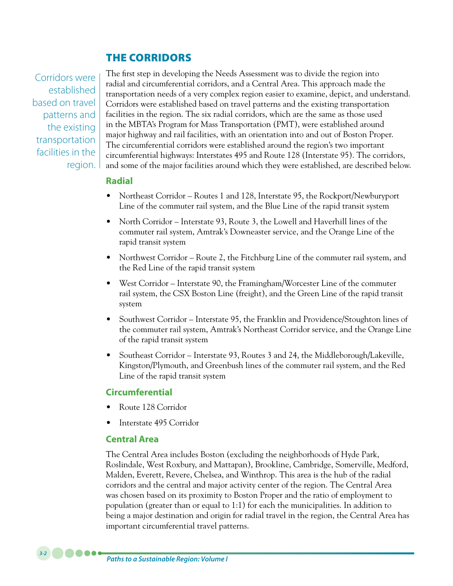## THE CORRIDORS

Corridors were established based on travel patterns and the existing transportation facilities in the region. The first step in developing the Needs Assessment was to divide the region into radial and circumferential corridors, and a Central Area. This approach made the transportation needs of a very complex region easier to examine, depict, and understand. Corridors were established based on travel patterns and the existing transportation facilities in the region. The six radial corridors, which are the same as those used in the MBTA's Program for Mass Transportation (PMT), were established around major highway and rail facilities, with an orientation into and out of Boston Proper. The circumferential corridors were established around the region's two important circumferential highways: Interstates 495 and Route 128 (Interstate 95). The corridors, and some of the major facilities around which they were established, are described below.

### **Radial**

- Northeast Corridor Routes 1 and 128, Interstate 95, the Rockport/Newburyport Line of the commuter rail system, and the Blue Line of the rapid transit system
- North Corridor Interstate 93, Route 3, the Lowell and Haverhill lines of the commuter rail system, Amtrak's Downeaster service, and the Orange Line of the rapid transit system
- Northwest Corridor Route 2, the Fitchburg Line of the commuter rail system, and the Red Line of the rapid transit system
- West Corridor Interstate 90, the Framingham/Worcester Line of the commuter rail system, the CSX Boston Line (freight), and the Green Line of the rapid transit system
- Southwest Corridor Interstate 95, the Franklin and Providence/Stoughton lines of the commuter rail system, Amtrak's Northeast Corridor service, and the Orange Line of the rapid transit system
- Southeast Corridor Interstate 93, Routes 3 and 24, the Middleborough/Lakeville, Kingston/Plymouth, and Greenbush lines of the commuter rail system, and the Red Line of the rapid transit system

### **Circumferential**

- Route 128 Corridor
- Interstate 495 Corridor

### **Central Area**

The Central Area includes Boston (excluding the neighborhoods of Hyde Park, Roslindale, West Roxbury, and Mattapan), Brookline, Cambridge, Somerville, Medford, Malden, Everett, Revere, Chelsea, and Winthrop. This area is the hub of the radial corridors and the central and major activity center of the region. The Central Area was chosen based on its proximity to Boston Proper and the ratio of employment to population (greater than or equal to 1:1) for each the municipalities. In addition to being a major destination and origin for radial travel in the region, the Central Area has important circumferential travel patterns.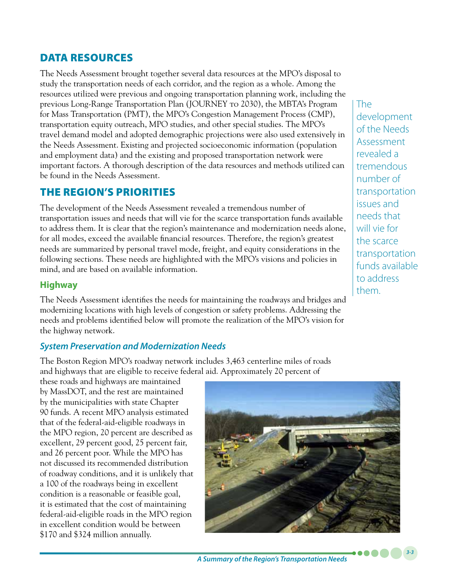# DATA RESOURCES

The Needs Assessment brought together several data resources at the MPO's disposal to study the transportation needs of each corridor, and the region as a whole. Among the resources utilized were previous and ongoing transportation planning work, including the previous Long-Range Transportation Plan (JOURNEY to 2030), the MBTA's Program for Mass Transportation (PMT), the MPO's Congestion Management Process (CMP), transportation equity outreach, MPO studies, and other special studies. The MPO's travel demand model and adopted demographic projections were also used extensively in the Needs Assessment. Existing and projected socioeconomic information (population and employment data) and the existing and proposed transportation network were important factors. A thorough description of the data resources and methods utilized can be found in the Needs Assessment.

## THE REGION'S PRIORITIES

The development of the Needs Assessment revealed a tremendous number of transportation issues and needs that will vie for the scarce transportation funds available to address them. It is clear that the region's maintenance and modernization needs alone, for all modes, exceed the available financial resources. Therefore, the region's greatest needs are summarized by personal travel mode, freight, and equity considerations in the following sections. These needs are highlighted with the MPO's visions and policies in mind, and are based on available information.

## **Highway**

The Needs Assessment identifies the needs for maintaining the roadways and bridges and modernizing locations with high levels of congestion or safety problems. Addressing the needs and problems identified below will promote the realization of the MPO's vision for the highway network.

## *System Preservation and Modernization Needs*

The Boston Region MPO's roadway network includes 3,463 centerline miles of roads and highways that are eligible to receive federal aid. Approximately 20 percent of

these roads and highways are maintained by MassDOT, and the rest are maintained by the municipalities with state Chapter 90 funds. A recent MPO analysis estimated that of the federal-aid-eligible roadways in the MPO region, 20 percent are described as excellent, 29 percent good, 25 percent fair, and 26 percent poor. While the MPO has not discussed its recommended distribution of roadway conditions, and it is unlikely that a 100 of the roadways being in excellent condition is a reasonable or feasible goal, it is estimated that the cost of maintaining federal-aid-eligible roads in the MPO region in excellent condition would be between \$170 and \$324 million annually.



The development of the Needs Assessment revealed a tremendous number of transportation issues and needs that will vie for the scarce transportation funds available to address them.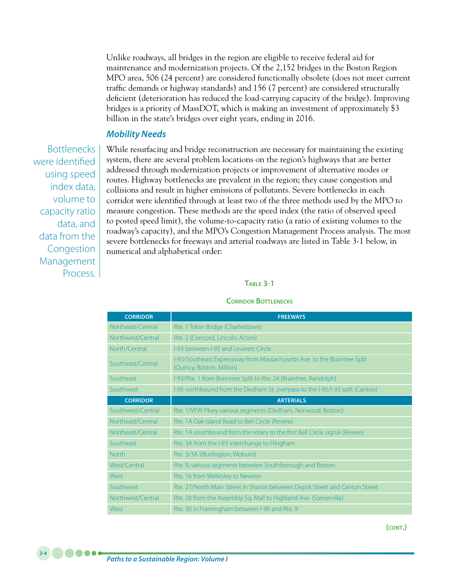Unlike roadways, all bridges in the region are eligible to receive federal aid for maintenance and modernization projects. Of the 2,152 bridges in the Boston Region MPO area, 506 (24 percent) are considered functionally obsolete (does not meet current traffic demands or highway standards) and 156 (7 percent) are considered structurally deficient (deterioration has reduced the load-carrying capacity of the bridge). Improving bridges is a priority of MassDOT, which is making an investment of approximately \$3 billion in the state's bridges over eight years, ending in 2016.

### *Mobility Needs*

Bottlenecks were identified using speed index data, volume to capacity ratio data, and data from the Congestion Management Process.

While resurfacing and bridge reconstruction are necessary for maintaining the existing system, there are several problem locations on the region's highways that are better addressed through modernization projects or improvement of alternative modes or routes. Highway bottlenecks are prevalent in the region; they cause congestion and collisions and result in higher emissions of pollutants. Severe bottlenecks in each corridor were identified through at least two of the three methods used by the MPO to measure congestion. These methods are the speed index (the ratio of observed speed to posted speed limit), the volume-to-capacity ratio (a ratio of existing volumes to the roadway's capacity), and the MPO's Congestion Management Process analysis. The most severe bottlenecks for freeways and arterial roadways are listed in Table 3-1 below, in numerical and alphabetical order:

#### **Table 3-1**

#### **Corridor Bottlenecks**

| <b>CORRIDOR</b>   | <b>FREEWAYS</b>                                                                                      |
|-------------------|------------------------------------------------------------------------------------------------------|
| Northeast/Central | Rte. 1 Tobin Bridge (Charlestown)                                                                    |
| Northwest/Central | Rte. 2 (Concord, Lincoln, Acton)                                                                     |
| North/Central     | I-93 between I-95 and Leverett Circle                                                                |
| Southeast/Central | I-93/Southeast Expressway from Massachusetts Ave. to the Braintree Split<br>(Quincy, Boston, Milton) |
| Southeast         | I-93/Rte. 1 from Braintree Split to Rte. 24 (Braintree, Randolph)                                    |
| Southwest         | I-95 northbound from the Dedham St. overpass to the I-95/I-93 split (Canton)                         |
| <b>CORRIDOR</b>   | <b>ARTERIALS</b>                                                                                     |
| Southwest/Central | Rte. 1/VFW Pkwy various segments (Dedham, Norwood, Boston)                                           |
| Northeast/Central | Rte. 1A Oak Island Road to Bell Circle (Revere)                                                      |
| Northeast/Central | Rte. 1A southbound from the rotary to the first Bell Circle signal (Revere)                          |
| Southeast         | Rte. 3A from the I-93 interchange to Hingham                                                         |
| <b>North</b>      | Rte. 3/3A i(Burlington, Woburn)                                                                      |
| West/Central      | Rte. 9, various segments between Southborough and Boston                                             |
| West              | Rte. 16 from Wellesley to Newton                                                                     |
| Southwest         | Rte. 27/North Main Street in Sharon between Depot Street and Canton Street                           |
| Northwest/Central | Rte. 28 from the Assembly Sq. Mall to Highland Ave. (Somerville)                                     |
| West              | Rte. 30 in Framingham between I-90 and Rte. 9                                                        |

**(cont.)**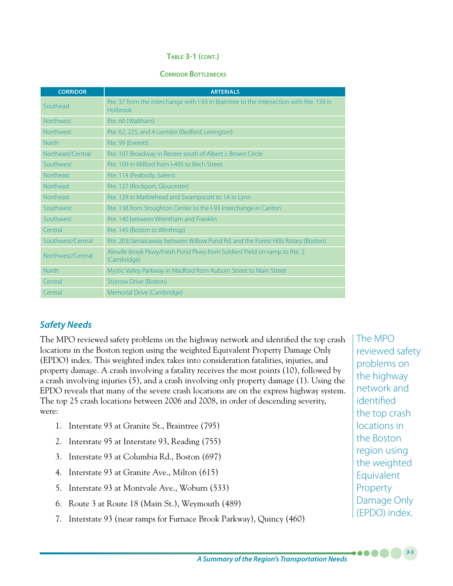#### **Table 3-1 (cont.)**

#### **Corridor Bottlenecks**

| <b>CORRIDOR</b>   | <b>ARTERIALS</b>                                                                                     |
|-------------------|------------------------------------------------------------------------------------------------------|
| Southeast         | Rte. 37 from the interchange with I-93 in Braintree to the intersection with Rte. 139 in<br>Holbrook |
| <b>Northwest</b>  | Rte. 60 (Waltham)                                                                                    |
| <b>Northwest</b>  | Rte. 62, 225, and 4 corridor (Bedford, Lexington)                                                    |
| <b>North</b>      | Rte. 99 (Everett)                                                                                    |
| Northeast/Central | Rte. 107 Broadway in Revere south of Albert J. Brown Circle                                          |
| Southwest         | Rte. 109 in Milford from I-495 to Birch Street                                                       |
| <b>Northeast</b>  | Rte. 114 (Peabody, Salem)                                                                            |
| <b>Northeast</b>  | Rte. 127 (Rockport, Gloucester)                                                                      |
| <b>Northeast</b>  | Rte. 129 in Marblehead and Swampscott to 1A in Lynn                                                  |
| Southwest         | Rte. 138 from Stoughton Center to the I-93 interchange in Canton                                     |
| Southwest         | Rte, 140 between Wrentham and Franklin                                                               |
| Central           | Rte. 145 (Boston to Winthrop)                                                                        |
| Southwest/Central | Rte. 203/Jamaicaway between Willow Pond Rd. and the Forest Hills Rotary (Boston)                     |
| Northwest/Central | Alewife Brook Pkwy/Fresh Pond Pkwy from Soldiers' Field on-ramp to Rte. 2<br>(Cambridge)             |
| <b>North</b>      | Mystic Valley Parkway in Medford from Auburn Street to Main Street                                   |
| Central           | Storrow Drive (Boston)                                                                               |
| Central           | Memorial Drive (Cambridge)                                                                           |

## *Safety Needs*

The MPO reviewed safety problems on the highway network and identified the top crash locations in the Boston region using the weighted Equivalent Property Damage Only (EPDO) index. This weighted index takes into consideration fatalities, injuries, and property damage. A crash involving a fatality receives the most points (10), followed by a crash involving injuries (5), and a crash involving only property damage (1). Using the EPDO reveals that many of the severe crash locations are on the express highway system. The top 25 crash locations between 2006 and 2008, in order of descending severity, were:

- 1. Interstate 93 at Granite St., Braintree (795)
- 2. Interstate 95 at Interstate 93, Reading (755)
- 3. Interstate 93 at Columbia Rd., Boston (697)
- 4. Interstate 93 at Granite Ave., Milton (615)
- 5. Interstate 93 at Montvale Ave., Woburn (533)
- 6. Route 3 at Route 18 (Main St.), Weymouth (489)
- 7. Interstate 93 (near ramps for Furnace Brook Parkway), Quincy (460)

The MPO reviewed safety problems on the highway network and identified the top crash locations in the Boston region using the weighted Equivalent Property Damage Only (EPDO) index.

*3-5*

 $\bullet$   $\bullet$   $\bullet$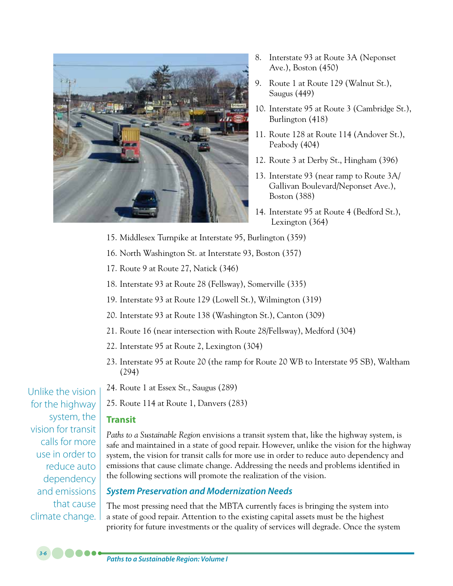

- 8. Interstate 93 at Route 3A (Neponset Ave.), Boston (450)
- 9. Route 1 at Route 129 (Walnut St.), Saugus (449)
- 10. Interstate 95 at Route 3 (Cambridge St.), Burlington (418)
- 11. Route 128 at Route 114 (Andover St.), Peabody (404)
- 12. Route 3 at Derby St., Hingham (396)
- 13. Interstate 93 (near ramp to Route 3A/ Gallivan Boulevard/Neponset Ave.), Boston (388)
- 14. Interstate 95 at Route 4 (Bedford St.), Lexington (364)
- 15. Middlesex Turnpike at Interstate 95, Burlington (359)
- 16. North Washington St. at Interstate 93, Boston (357)
- 17. Route 9 at Route 27, Natick (346)
- 18. Interstate 93 at Route 28 (Fellsway), Somerville (335)
- 19. Interstate 93 at Route 129 (Lowell St.), Wilmington (319)
- 20. Interstate 93 at Route 138 (Washington St.), Canton (309)
- 21. Route 16 (near intersection with Route 28/Fellsway), Medford (304)
- 22. Interstate 95 at Route 2, Lexington (304)
- 23. Interstate 95 at Route 20 (the ramp for Route 20 WB to Interstate 95 SB), Waltham (294)
- 24. Route 1 at Essex St., Saugus (289)
- 25. Route 114 at Route 1, Danvers (283)

# **Transit**

*Paths to a Sustainable Region* envisions a transit system that, like the highway system, is safe and maintained in a state of good repair. However, unlike the vision for the highway system, the vision for transit calls for more use in order to reduce auto dependency and emissions that cause climate change. Addressing the needs and problems identified in the following sections will promote the realization of the vision.

# *System Preservation and Modernization Needs*

The most pressing need that the MBTA currently faces is bringing the system into a state of good repair. Attention to the existing capital assets must be the highest priority for future investments or the quality of services will degrade. Once the system

Unlike the vision for the highway system, the vision for transit calls for more use in order to reduce auto dependency and emissions that cause climate change.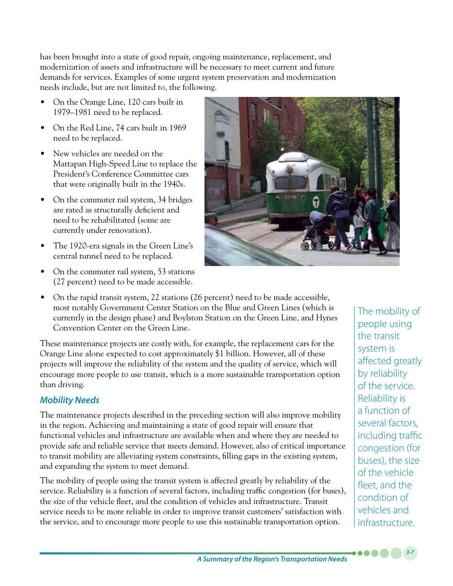has been brought into a state of good repair, ongoing maintenance, replacement, and modernization of assets and infrastructure will be necessary to meet current and future demands for services. Examples of some urgent system preservation and modernization needs include, but are not limited to, the following.

- On the Orange Line, 120 cars built in 1979–1981 need to be replaced.
- On the Red Line, 74 cars built in 1969 need to be replaced.
- New vehicles are needed on the Mattapan High-Speed Line to replace the President's Conference Committee cars that were originally built in the 1940s.
- On the commuter rail system, 34 bridges are rated as structurally deficient and need to be rehabilitated (some are currently under renovation).
- The 1920-era signals in the Green Line's central tunnel need to be replaced.
- On the commuter rail system, 53 stations (27 percent) need to be made accessible.



• On the rapid transit system, 22 stations (26 percent) need to be made accessible, most notably Government Center Station on the Blue and Green Lines (which is currently in the design phase) and Boylston Station on the Green Line, and Hynes Convention Center on the Green Line.

These maintenance projects are costly with, for example, the replacement cars for the Orange Line alone expected to cost approximately \$1 billion. However, all of these projects will improve the reliability of the system and the quality of service, which will encourage more people to use transit, which is a more sustainable transportation option than driving.

## *Mobility Needs*

The maintenance projects described in the preceding section will also improve mobility in the region. Achieving and maintaining a state of good repair will ensure that functional vehicles and infrastructure are available when and where they are needed to provide safe and reliable service that meets demand. However, also of critical importance to transit mobility are alleviating system constraints, filling gaps in the existing system, and expanding the system to meet demand.

The mobility of people using the transit system is affected greatly by reliability of the service. Reliability is a function of several factors, including traffic congestion (for buses), the size of the vehicle fleet, and the condition of vehicles and infrastructure. Transit service needs to be more reliable in order to improve transit customers' satisfaction with the service, and to encourage more people to use this sustainable transportation option.

The mobility of people using the transit system is affected greatly by reliability of the service. Reliability is a function of several factors, including traffic congestion (for buses), the size of the vehicle fleet, and the condition of vehicles and infrastructure.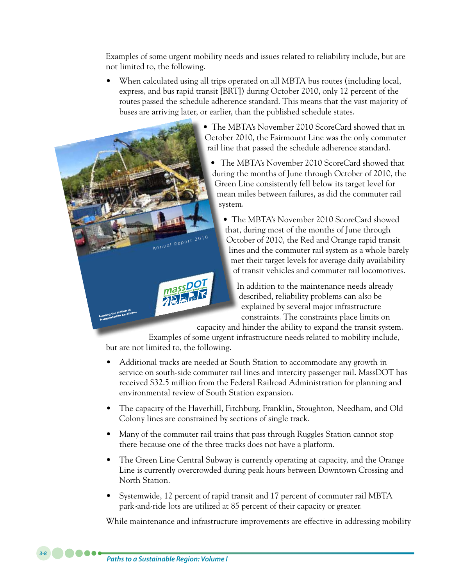Examples of some urgent mobility needs and issues related to reliability include, but are not limited to, the following.

When calculated using all trips operated on all MBTA bus routes (including local, express, and bus rapid transit [BRT]) during October 2010, only 12 percent of the routes passed the schedule adherence standard. This means that the vast majority of buses are arriving later, or earlier, than the published schedule states.



capacity and hinder the ability to expand the transit system.

Examples of some urgent infrastructure needs related to mobility include, but are not limited to, the following.

- Additional tracks are needed at South Station to accommodate any growth in service on south-side commuter rail lines and intercity passenger rail. MassDOT has received \$32.5 million from the Federal Railroad Administration for planning and environmental review of South Station expansion.
- The capacity of the Haverhill, Fitchburg, Franklin, Stoughton, Needham, and Old Colony lines are constrained by sections of single track.
- Many of the commuter rail trains that pass through Ruggles Station cannot stop there because one of the three tracks does not have a platform.
- The Green Line Central Subway is currently operating at capacity, and the Orange Line is currently overcrowded during peak hours between Downtown Crossing and North Station.
- Systemwide, 12 percent of rapid transit and 17 percent of commuter rail MBTA park-and-ride lots are utilized at 85 percent of their capacity or greater.

While maintenance and infrastructure improvements are effective in addressing mobility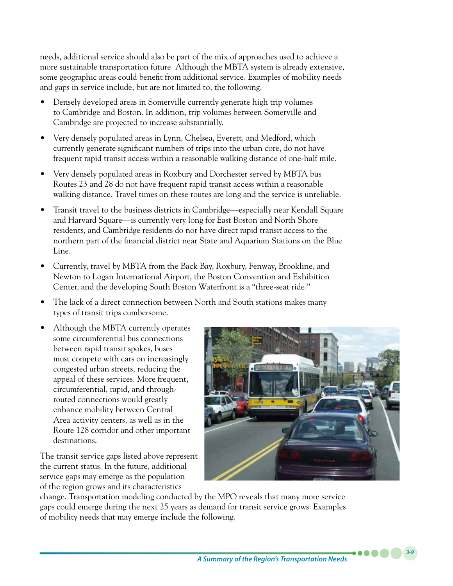needs, additional service should also be part of the mix of approaches used to achieve a more sustainable transportation future. Although the MBTA system is already extensive, some geographic areas could benefit from additional service. Examples of mobility needs and gaps in service include, but are not limited to, the following.

- Densely developed areas in Somerville currently generate high trip volumes to Cambridge and Boston. In addition, trip volumes between Somerville and Cambridge are projected to increase substantially.
- Very densely populated areas in Lynn, Chelsea, Everett, and Medford, which currently generate significant numbers of trips into the urban core, do not have frequent rapid transit access within a reasonable walking distance of one-half mile.
- Very densely populated areas in Roxbury and Dorchester served by MBTA bus Routes 23 and 28 do not have frequent rapid transit access within a reasonable walking distance. Travel times on these routes are long and the service is unreliable.
- Transit travel to the business districts in Cambridge—especially near Kendall Square and Harvard Square—is currently very long for East Boston and North Shore residents, and Cambridge residents do not have direct rapid transit access to the northern part of the financial district near State and Aquarium Stations on the Blue Line.
- Currently, travel by MBTA from the Back Bay, Roxbury, Fenway, Brookline, and Newton to Logan International Airport, the Boston Convention and Exhibition Center, and the developing South Boston Waterfront is a "three-seat ride."
- The lack of a direct connection between North and South stations makes many types of transit trips cumbersome.
- Although the MBTA currently operates some circumferential bus connections between rapid transit spokes, buses must compete with cars on increasingly congested urban streets, reducing the appeal of these services. More frequent, circumferential, rapid, and throughrouted connections would greatly enhance mobility between Central Area activity centers, as well as in the Route 128 corridor and other important destinations.

The transit service gaps listed above represent the current status. In the future, additional service gaps may emerge as the population of the region grows and its characteristics



change. Transportation modeling conducted by the MPO reveals that many more service gaps could emerge during the next 25 years as demand for transit service grows. Examples of mobility needs that may emerge include the following.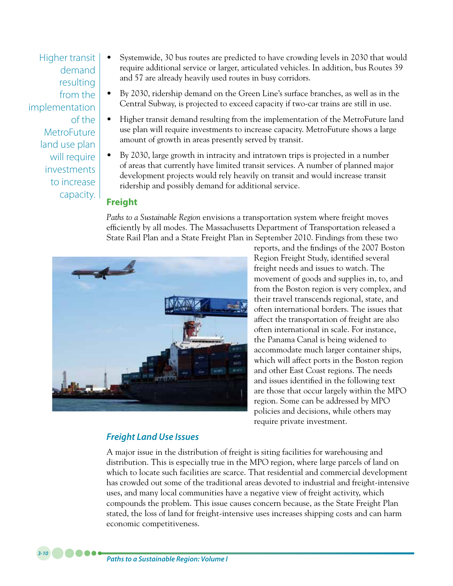Higher transit demand resulting from the implementation of the MetroFuture land use plan will require investments to increase capacity.

*3-10*

- Systemwide, 30 bus routes are predicted to have crowding levels in 2030 that would require additional service or larger, articulated vehicles. In addition, bus Routes 39 and 57 are already heavily used routes in busy corridors.
- By 2030, ridership demand on the Green Line's surface branches, as well as in the Central Subway, is projected to exceed capacity if two-car trains are still in use.
- Higher transit demand resulting from the implementation of the MetroFuture land use plan will require investments to increase capacity. MetroFuture shows a large amount of growth in areas presently served by transit.
- By 2030, large growth in intracity and intratown trips is projected in a number of areas that currently have limited transit services. A number of planned major development projects would rely heavily on transit and would increase transit ridership and possibly demand for additional service.

## **Freight**

*Paths to a Sustainable Region* envisions a transportation system where freight moves efficiently by all modes. The Massachusetts Department of Transportation released a State Rail Plan and a State Freight Plan in September 2010. Findings from these two



reports, and the findings of the 2007 Boston Region Freight Study, identified several freight needs and issues to watch. The movement of goods and supplies in, to, and from the Boston region is very complex, and their travel transcends regional, state, and often international borders. The issues that affect the transportation of freight are also often international in scale. For instance, the Panama Canal is being widened to accommodate much larger container ships, which will affect ports in the Boston region and other East Coast regions. The needs and issues identified in the following text are those that occur largely within the MPO region. Some can be addressed by MPO policies and decisions, while others may require private investment.

## *Freight Land Use Issues*

A major issue in the distribution of freight is siting facilities for warehousing and distribution. This is especially true in the MPO region, where large parcels of land on which to locate such facilities are scarce. That residential and commercial development has crowded out some of the traditional areas devoted to industrial and freight-intensive uses, and many local communities have a negative view of freight activity, which compounds the problem. This issue causes concern because, as the State Freight Plan stated, the loss of land for freight-intensive uses increases shipping costs and can harm economic competitiveness.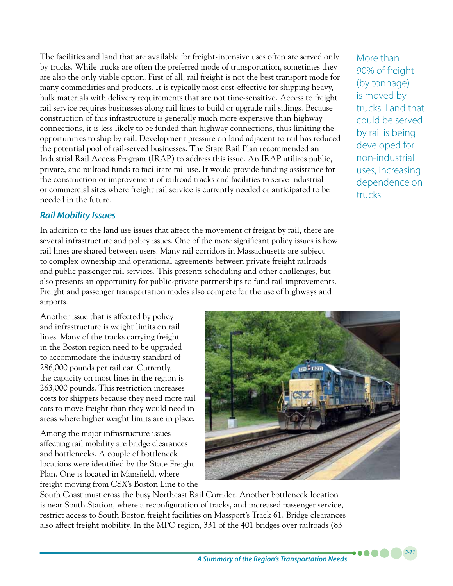The facilities and land that are available for freight-intensive uses often are served only by trucks. While trucks are often the preferred mode of transportation, sometimes they are also the only viable option. First of all, rail freight is not the best transport mode for many commodities and products. It is typically most cost-effective for shipping heavy, bulk materials with delivery requirements that are not time-sensitive. Access to freight rail service requires businesses along rail lines to build or upgrade rail sidings. Because construction of this infrastructure is generally much more expensive than highway connections, it is less likely to be funded than highway connections, thus limiting the opportunities to ship by rail. Development pressure on land adjacent to rail has reduced the potential pool of rail-served businesses. The State Rail Plan recommended an Industrial Rail Access Program (IRAP) to address this issue. An IRAP utilizes public, private, and railroad funds to facilitate rail use. It would provide funding assistance for the construction or improvement of railroad tracks and facilities to serve industrial or commercial sites where freight rail service is currently needed or anticipated to be needed in the future.

## *Rail Mobility Issues*

In addition to the land use issues that affect the movement of freight by rail, there are several infrastructure and policy issues. One of the more significant policy issues is how rail lines are shared between users. Many rail corridors in Massachusetts are subject to complex ownership and operational agreements between private freight railroads and public passenger rail services. This presents scheduling and other challenges, but also presents an opportunity for public-private partnerships to fund rail improvements. Freight and passenger transportation modes also compete for the use of highways and airports.

Another issue that is affected by policy and infrastructure is weight limits on rail lines. Many of the tracks carrying freight in the Boston region need to be upgraded to accommodate the industry standard of 286,000 pounds per rail car. Currently, the capacity on most lines in the region is 263,000 pounds. This restriction increases costs for shippers because they need more rail cars to move freight than they would need in areas where higher weight limits are in place.

Among the major infrastructure issues affecting rail mobility are bridge clearances and bottlenecks. A couple of bottleneck locations were identified by the State Freight Plan. One is located in Mansfield, where freight moving from CSX's Boston Line to the

South Coast must cross the busy Northeast Rail Corridor. Another bottleneck location is near South Station, where a reconfiguration of tracks, and increased passenger service, restrict access to South Boston freight facilities on Massport's Track 61. Bridge clearances also affect freight mobility. In the MPO region, 331 of the 401 bridges over railroads (83

More than 90% of freight (by tonnage) is moved by trucks. Land that could be served by rail is being developed for non-industrial uses, increasing dependence on trucks.

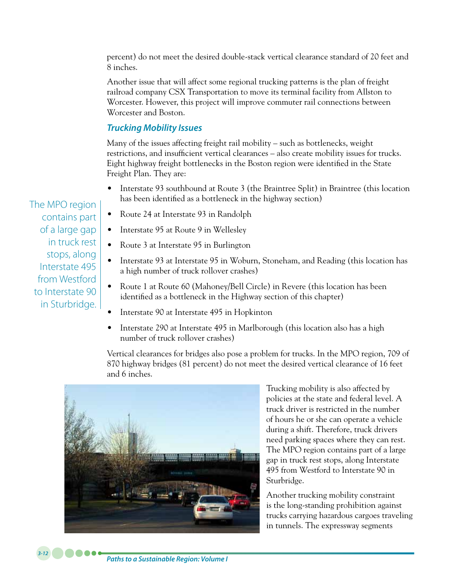percent) do not meet the desired double-stack vertical clearance standard of 20 feet and 8 inches.

Another issue that will affect some regional trucking patterns is the plan of freight railroad company CSX Transportation to move its terminal facility from Allston to Worcester. However, this project will improve commuter rail connections between Worcester and Boston.

### *Trucking Mobility Issues*

Many of the issues affecting freight rail mobility – such as bottlenecks, weight restrictions, and insufficient vertical clearances – also create mobility issues for trucks. Eight highway freight bottlenecks in the Boston region were identified in the State Freight Plan. They are:

- Interstate 93 southbound at Route 3 (the Braintree Split) in Braintree (this location has been identified as a bottleneck in the highway section)
- Route 24 at Interstate 93 in Randolph
- Interstate 95 at Route 9 in Wellesley
- Route 3 at Interstate 95 in Burlington
- Interstate 93 at Interstate 95 in Woburn, Stoneham, and Reading (this location has a high number of truck rollover crashes)
- Route 1 at Route 60 (Mahoney/Bell Circle) in Revere (this location has been identified as a bottleneck in the Highway section of this chapter)
- Interstate 90 at Interstate 495 in Hopkinton
- Interstate 290 at Interstate 495 in Marlborough (this location also has a high number of truck rollover crashes)

Vertical clearances for bridges also pose a problem for trucks. In the MPO region, 709 of 870 highway bridges (81 percent) do not meet the desired vertical clearance of 16 feet and 6 inches.



Trucking mobility is also affected by policies at the state and federal level. A truck driver is restricted in the number of hours he or she can operate a vehicle during a shift. Therefore, truck drivers need parking spaces where they can rest. The MPO region contains part of a large gap in truck rest stops, along Interstate 495 from Westford to Interstate 90 in Sturbridge.

Another trucking mobility constraint is the long-standing prohibition against trucks carrying hazardous cargoes traveling in tunnels. The expressway segments

The MPO region contains part of a large gap in truck rest stops, along Interstate 495 from Westford to Interstate 90 in Sturbridge.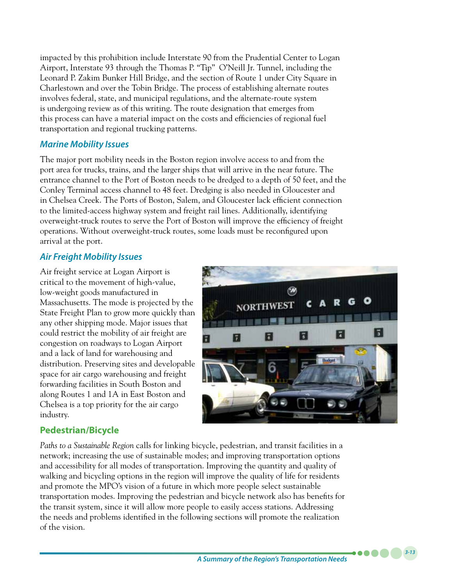impacted by this prohibition include Interstate 90 from the Prudential Center to Logan Airport, Interstate 93 through the Thomas P. "Tip" O'Neill Jr. Tunnel, including the Leonard P. Zakim Bunker Hill Bridge, and the section of Route 1 under City Square in Charlestown and over the Tobin Bridge. The process of establishing alternate routes involves federal, state, and municipal regulations, and the alternate-route system is undergoing review as of this writing. The route designation that emerges from this process can have a material impact on the costs and efficiencies of regional fuel transportation and regional trucking patterns.

## *Marine Mobility Issues*

The major port mobility needs in the Boston region involve access to and from the port area for trucks, trains, and the larger ships that will arrive in the near future. The entrance channel to the Port of Boston needs to be dredged to a depth of 50 feet, and the Conley Terminal access channel to 48 feet. Dredging is also needed in Gloucester and in Chelsea Creek. The Ports of Boston, Salem, and Gloucester lack efficient connection to the limited-access highway system and freight rail lines. Additionally, identifying overweight-truck routes to serve the Port of Boston will improve the efficiency of freight operations. Without overweight-truck routes, some loads must be reconfigured upon arrival at the port.

## *Air Freight Mobility Issues*

Air freight service at Logan Airport is critical to the movement of high-value, low-weight goods manufactured in Massachusetts. The mode is projected by the State Freight Plan to grow more quickly than any other shipping mode. Major issues that could restrict the mobility of air freight are congestion on roadways to Logan Airport and a lack of land for warehousing and distribution. Preserving sites and developable space for air cargo warehousing and freight forwarding facilities in South Boston and along Routes 1 and 1A in East Boston and Chelsea is a top priority for the air cargo industry.



## **Pedestrian/Bicycle**

*Paths to a Sustainable Region* calls for linking bicycle, pedestrian, and transit facilities in a network; increasing the use of sustainable modes; and improving transportation options and accessibility for all modes of transportation. Improving the quantity and quality of walking and bicycling options in the region will improve the quality of life for residents and promote the MPO's vision of a future in which more people select sustainable transportation modes. Improving the pedestrian and bicycle network also has benefits for the transit system, since it will allow more people to easily access stations. Addressing the needs and problems identified in the following sections will promote the realization of the vision.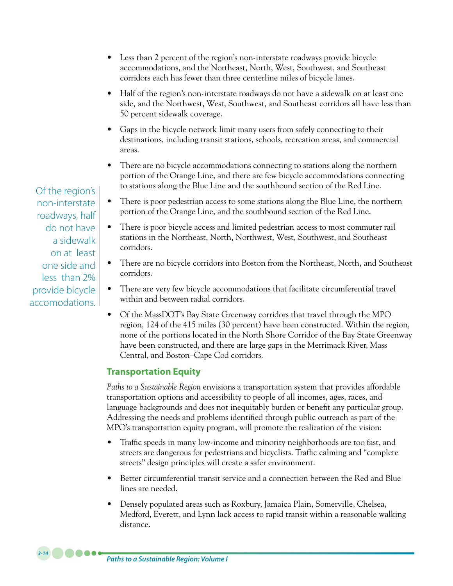- Less than 2 percent of the region's non-interstate roadways provide bicycle accommodations, and the Northeast, North, West, Southwest, and Southeast corridors each has fewer than three centerline miles of bicycle lanes.
- Half of the region's non-interstate roadways do not have a sidewalk on at least one side, and the Northwest, West, Southwest, and Southeast corridors all have less than 50 percent sidewalk coverage.
- Gaps in the bicycle network limit many users from safely connecting to their destinations, including transit stations, schools, recreation areas, and commercial areas.
- There are no bicycle accommodations connecting to stations along the northern portion of the Orange Line, and there are few bicycle accommodations connecting to stations along the Blue Line and the southbound section of the Red Line.
- There is poor pedestrian access to some stations along the Blue Line, the northern portion of the Orange Line, and the southbound section of the Red Line.
- There is poor bicycle access and limited pedestrian access to most commuter rail stations in the Northeast, North, Northwest, West, Southwest, and Southeast corridors.
- There are no bicycle corridors into Boston from the Northeast, North, and Southeast corridors.
- There are very few bicycle accommodations that facilitate circumferential travel within and between radial corridors.
- Of the MassDOT's Bay State Greenway corridors that travel through the MPO region, 124 of the 415 miles (30 percent) have been constructed. Within the region, none of the portions located in the North Shore Corridor of the Bay State Greenway have been constructed, and there are large gaps in the Merrimack River, Mass Central, and Boston–Cape Cod corridors.

## **Transportation Equity**

*Paths to a Sustainable Region* envisions a transportation system that provides affordable transportation options and accessibility to people of all incomes, ages, races, and language backgrounds and does not inequitably burden or benefit any particular group. Addressing the needs and problems identified through public outreach as part of the MPO's transportation equity program, will promote the realization of the vision:

- Traffic speeds in many low-income and minority neighborhoods are too fast, and streets are dangerous for pedestrians and bicyclists. Traffic calming and "complete streets" design principles will create a safer environment.
- • Better circumferential transit service and a connection between the Red and Blue lines are needed.
- Densely populated areas such as Roxbury, Jamaica Plain, Somerville, Chelsea, Medford, Everett, and Lynn lack access to rapid transit within a reasonable walking distance.

Of the region's non-interstate roadways, half do not have a sidewalk on at least one side and less than 2% provide bicycle accomodations.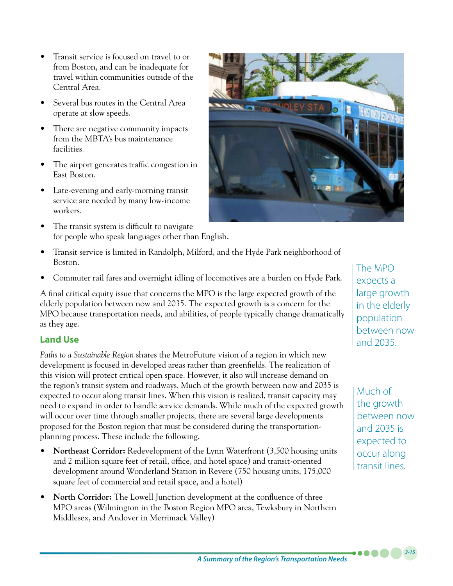- Transit service is focused on travel to or from Boston, and can be inadequate for travel within communities outside of the Central Area.
- Several bus routes in the Central Area operate at slow speeds.
- There are negative community impacts from the MBTA's bus maintenance facilities.
- The airport generates traffic congestion in East Boston.
- Late-evening and early-morning transit service are needed by many low-income workers.
- The transit system is difficult to navigate for people who speak languages other than English.



- Transit service is limited in Randolph, Milford, and the Hyde Park neighborhood of Boston.
- Commuter rail fares and overnight idling of locomotives are a burden on Hyde Park.

A final critical equity issue that concerns the MPO is the large expected growth of the elderly population between now and 2035. The expected growth is a concern for the MPO because transportation needs, and abilities, of people typically change dramatically as they age.

## **Land Use**

*Paths to a Sustainable Region* shares the MetroFuture vision of a region in which new development is focused in developed areas rather than greenfields. The realization of this vision will protect critical open space. However, it also will increase demand on the region's transit system and roadways. Much of the growth between now and 2035 is expected to occur along transit lines. When this vision is realized, transit capacity may need to expand in order to handle service demands. While much of the expected growth will occur over time through smaller projects, there are several large developments proposed for the Boston region that must be considered during the transportationplanning process. These include the following.

- **Northeast Corridor:** Redevelopment of the Lynn Waterfront (3,500 housing units and 2 million square feet of retail, office, and hotel space) and transit-oriented development around Wonderland Station in Revere (750 housing units, 175,000 square feet of commercial and retail space, and a hotel)
- • **North Corridor:** The Lowell Junction development at the confluence of three MPO areas (Wilmington in the Boston Region MPO area, Tewksbury in Northern Middlesex, and Andover in Merrimack Valley)

The MPO expects a large growth in the elderly population between now and 2035.

Much of the growth between now and 2035 is expected to occur along transit lines.